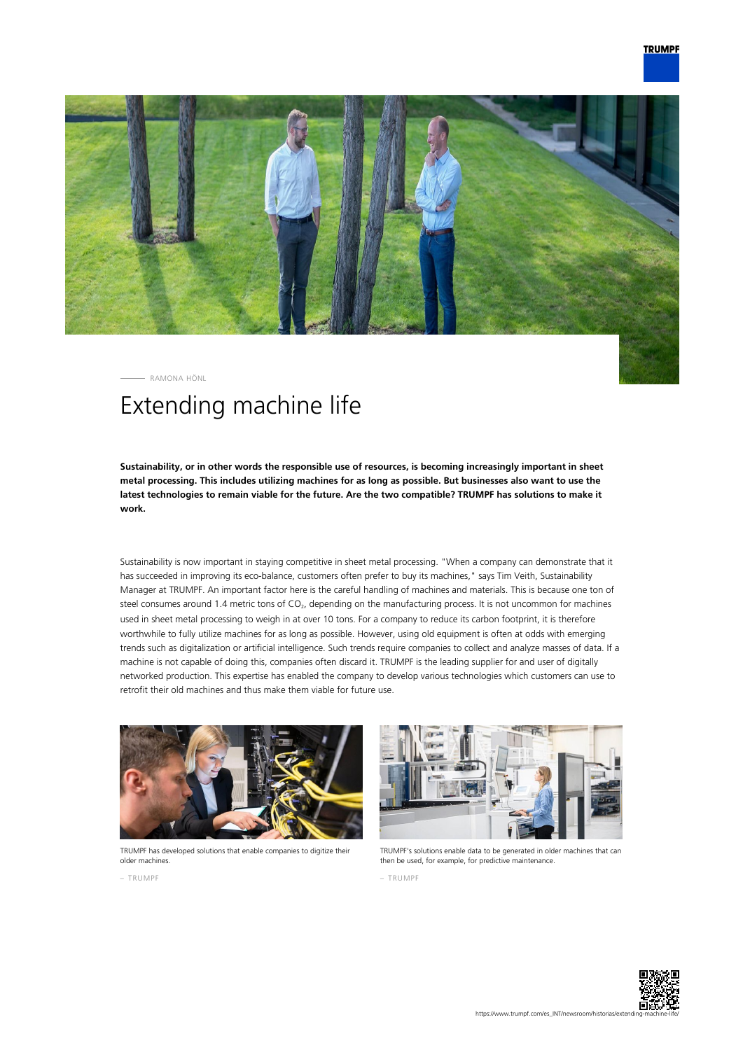

RAMONA HÖNL

## Extending machine life

**Sustainability, or in other words the responsible use of resources, is becoming increasingly important in sheet metal processing. This includes utilizing machines for as long as possible. But businesses also want to use the latest technologies to remain viable for the future. Are the two compatible? TRUMPF has solutions to make it work.**

Sustainability is now important in staying competitive in sheet metal processing. "When a company can demonstrate that it has succeeded in improving its eco-balance, customers often prefer to buy its machines," says Tim Veith, Sustainability Manager at TRUMPF. An important factor here is the careful handling of machines and materials. This is because one ton of steel consumes around 1.4 metric tons of CO<sub>2</sub>, depending on the manufacturing process. It is not uncommon for machines used in sheet metal processing to weigh in at over 10 tons. For a company to reduce its carbon footprint, it is therefore worthwhile to fully utilize machines for as long as possible. However, using old equipment is often at odds with emerging trends such as digitalization or artificial intelligence. Such trends require companies to collect and analyze masses of data. If a machine is not capable of doing this, companies often discard it. TRUMPF is the leading supplier for and user of digitally networked production. This expertise has enabled the company to develop various technologies which customers can use to retrofit their old machines and thus make them viable for future use.



TRUMPF has developed solutions that enable companies to digitize their older machines.



TRUMPF's solutions enable data to be generated in older machines that can then be used, for example, for predictive maintenance.

– TRUMPF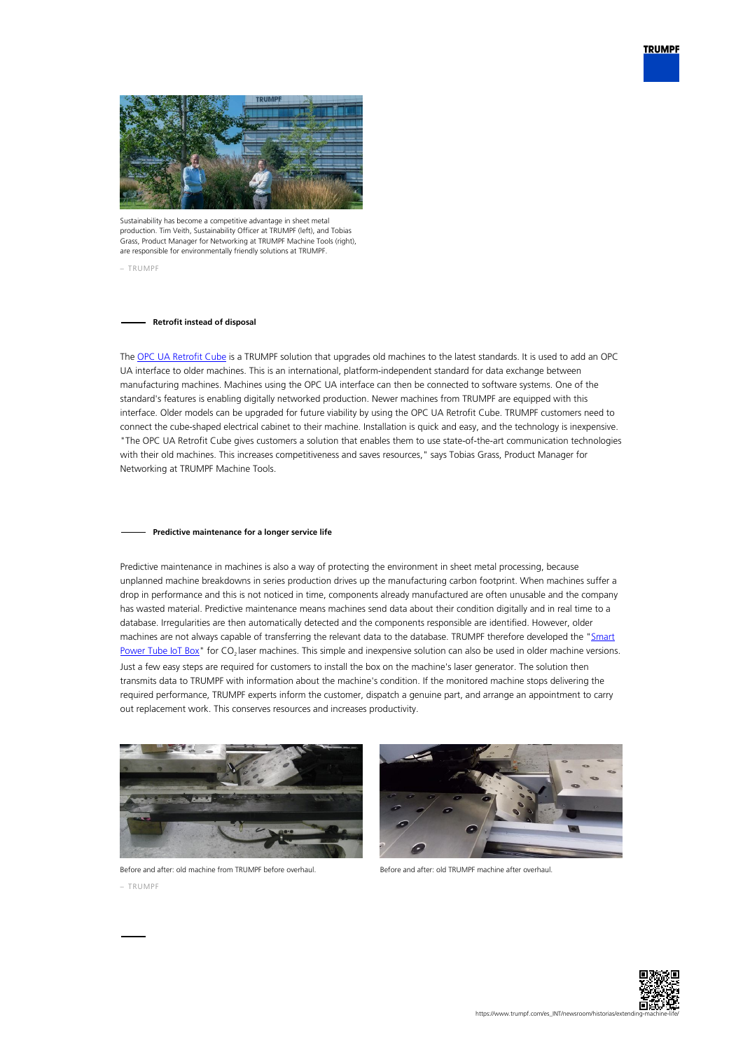



Sustainability has become a competitive advantage in sheet metal production. Tim Veith, Sustainability Officer at TRUMPF (left), and Tobias Grass, Product Manager for Networking at TRUMPF Machine Tools (right), are responsible for environmentally friendly solutions at TRUMPF.

– TRUMPF

## **Retrofit instead of disposal**

The [OPC UA Retrofit Cube](https://www.trumpf.com/en_INT/products/services/services-machines-systems-and-lasers/monitoring-analysis/connectivity/) is a TRUMPF solution that upgrades old machines to the latest standards. It is used to add an OPC UA interface to older machines. This is an international, platform-independent standard for data exchange between manufacturing machines. Machines using the OPC UA interface can then be connected to software systems. One of the standard's features is enabling digitally networked production. Newer machines from TRUMPF are equipped with this interface. Older models can be upgraded for future viability by using the OPC UA Retrofit Cube. TRUMPF customers need to connect the cube-shaped electrical cabinet to their machine. Installation is quick and easy, and the technology is inexpensive. "The OPC UA Retrofit Cube gives customers a solution that enables them to use state-of-the-art communication technologies with their old machines. This increases competitiveness and saves resources," says Tobias Grass, Product Manager for Networking at TRUMPF Machine Tools.

## **Predictive maintenance for a longer service life**

Predictive maintenance in machines is also a way of protecting the environment in sheet metal processing, because unplanned machine breakdowns in series production drives up the manufacturing carbon footprint. When machines suffer a drop in performance and this is not noticed in time, components already manufactured are often unusable and the company has wasted material. Predictive maintenance means machines send data about their condition digitally and in real time to a database. Irregularities are then automatically detected and the components responsible are identified. However, older machines are not always capable of transferring the relevant data to the database. TRUMPF therefore developed the "[Smart](https://www.trumpf.com/en_INT/products/services/services-machines-systems-and-lasers/genuine-parts/smart-power-tube/) [Power Tube IoT Box"](https://www.trumpf.com/en_INT/products/services/services-machines-systems-and-lasers/genuine-parts/smart-power-tube/) for  $CO<sub>2</sub>$  laser machines. This simple and inexpensive solution can also be used in older machine versions. Just a few easy steps are required for customers to install the box on the machine's laser generator. The solution then transmits data to TRUMPF with information about the machine's condition. If the monitored machine stops delivering the required performance, TRUMPF experts inform the customer, dispatch a genuine part, and arrange an appointment to carry out replacement work. This conserves resources and increases productivity.



Before and after: old machine from TRUMPF before overhaul. – TRUMPF



Before and after: old TRUMPF machine after overhaul.